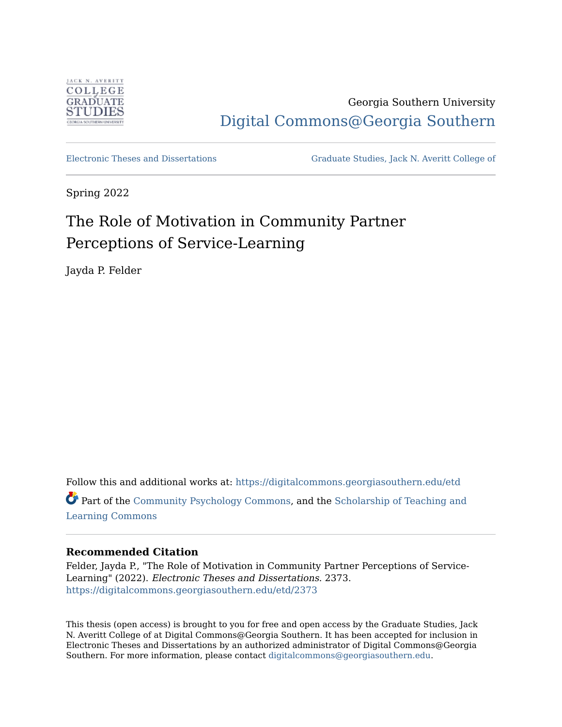

Georgia Southern University [Digital Commons@Georgia Southern](https://digitalcommons.georgiasouthern.edu/) 

[Electronic Theses and Dissertations](https://digitalcommons.georgiasouthern.edu/etd) [Graduate Studies, Jack N. Averitt College of](https://digitalcommons.georgiasouthern.edu/cogs) 

Spring 2022

# The Role of Motivation in Community Partner Perceptions of Service-Learning

Jayda P. Felder

Follow this and additional works at: [https://digitalcommons.georgiasouthern.edu/etd](https://digitalcommons.georgiasouthern.edu/etd?utm_source=digitalcommons.georgiasouthern.edu%2Fetd%2F2373&utm_medium=PDF&utm_campaign=PDFCoverPages)  Part of the [Community Psychology Commons,](http://network.bepress.com/hgg/discipline/409?utm_source=digitalcommons.georgiasouthern.edu%2Fetd%2F2373&utm_medium=PDF&utm_campaign=PDFCoverPages) and the [Scholarship of Teaching and](http://network.bepress.com/hgg/discipline/1328?utm_source=digitalcommons.georgiasouthern.edu%2Fetd%2F2373&utm_medium=PDF&utm_campaign=PDFCoverPages)  [Learning Commons](http://network.bepress.com/hgg/discipline/1328?utm_source=digitalcommons.georgiasouthern.edu%2Fetd%2F2373&utm_medium=PDF&utm_campaign=PDFCoverPages)

# **Recommended Citation**

Felder, Jayda P., "The Role of Motivation in Community Partner Perceptions of Service-Learning" (2022). Electronic Theses and Dissertations. 2373. [https://digitalcommons.georgiasouthern.edu/etd/2373](https://digitalcommons.georgiasouthern.edu/etd/2373?utm_source=digitalcommons.georgiasouthern.edu%2Fetd%2F2373&utm_medium=PDF&utm_campaign=PDFCoverPages) 

This thesis (open access) is brought to you for free and open access by the Graduate Studies, Jack N. Averitt College of at Digital Commons@Georgia Southern. It has been accepted for inclusion in Electronic Theses and Dissertations by an authorized administrator of Digital Commons@Georgia Southern. For more information, please contact [digitalcommons@georgiasouthern.edu](mailto:digitalcommons@georgiasouthern.edu).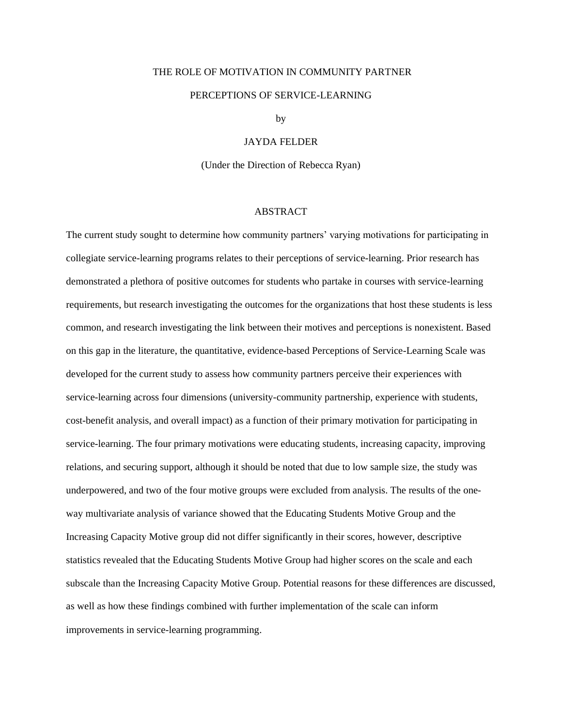### THE ROLE OF MOTIVATION IN COMMUNITY PARTNER

#### PERCEPTIONS OF SERVICE-LEARNING

by

### JAYDA FELDER

(Under the Direction of Rebecca Ryan)

### ABSTRACT

The current study sought to determine how community partners' varying motivations for participating in collegiate service-learning programs relates to their perceptions of service-learning. Prior research has demonstrated a plethora of positive outcomes for students who partake in courses with service-learning requirements, but research investigating the outcomes for the organizations that host these students is less common, and research investigating the link between their motives and perceptions is nonexistent. Based on this gap in the literature, the quantitative, evidence-based Perceptions of Service-Learning Scale was developed for the current study to assess how community partners perceive their experiences with service-learning across four dimensions (university-community partnership, experience with students, cost-benefit analysis, and overall impact) as a function of their primary motivation for participating in service-learning. The four primary motivations were educating students, increasing capacity, improving relations, and securing support, although it should be noted that due to low sample size, the study was underpowered, and two of the four motive groups were excluded from analysis. The results of the oneway multivariate analysis of variance showed that the Educating Students Motive Group and the Increasing Capacity Motive group did not differ significantly in their scores, however, descriptive statistics revealed that the Educating Students Motive Group had higher scores on the scale and each subscale than the Increasing Capacity Motive Group. Potential reasons for these differences are discussed, as well as how these findings combined with further implementation of the scale can inform improvements in service-learning programming.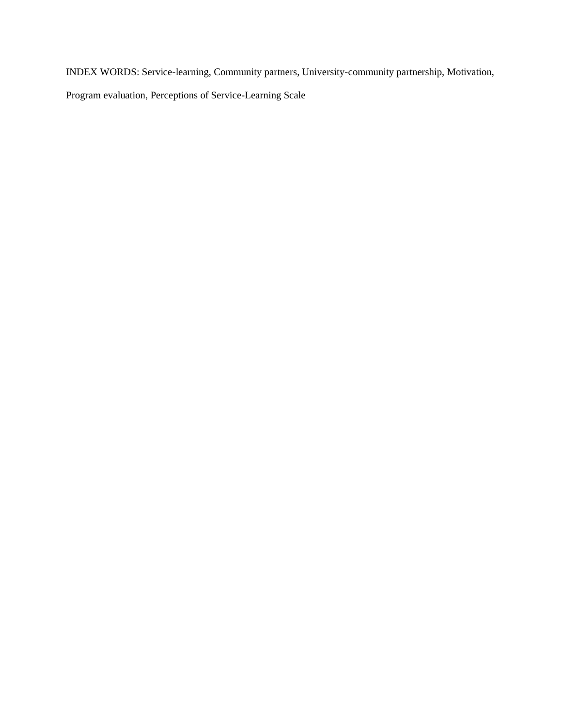INDEX WORDS: Service-learning, Community partners, University-community partnership, Motivation, Program evaluation, Perceptions of Service-Learning Scale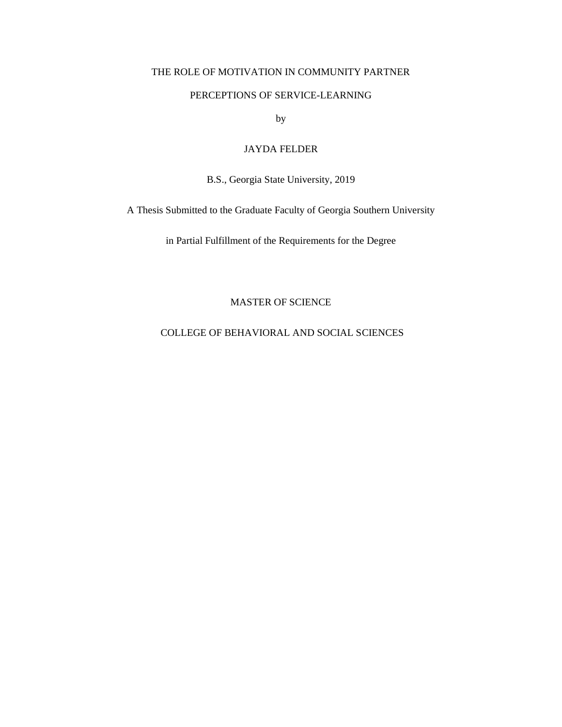# THE ROLE OF MOTIVATION IN COMMUNITY PARTNER

## PERCEPTIONS OF SERVICE-LEARNING

by

# JAYDA FELDER

B.S., Georgia State University, 2019

A Thesis Submitted to the Graduate Faculty of Georgia Southern University

in Partial Fulfillment of the Requirements for the Degree

# MASTER OF SCIENCE

# COLLEGE OF BEHAVIORAL AND SOCIAL SCIENCES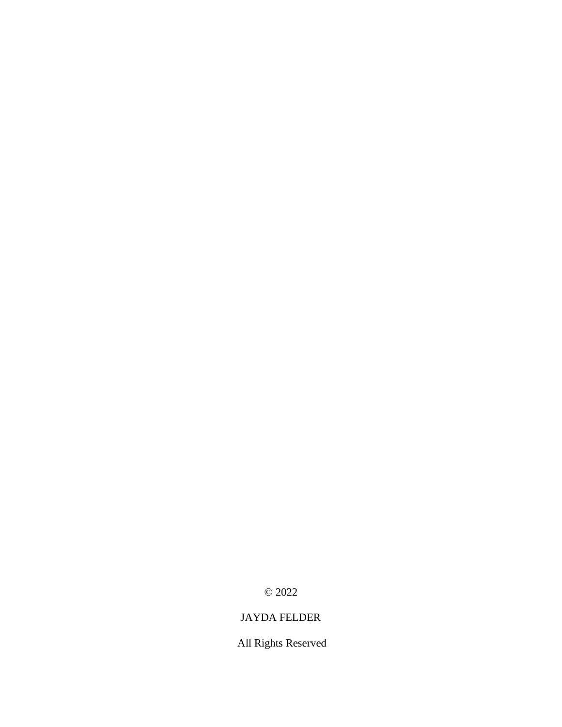© 2022

# JAYDA FELDER

All Rights Reserved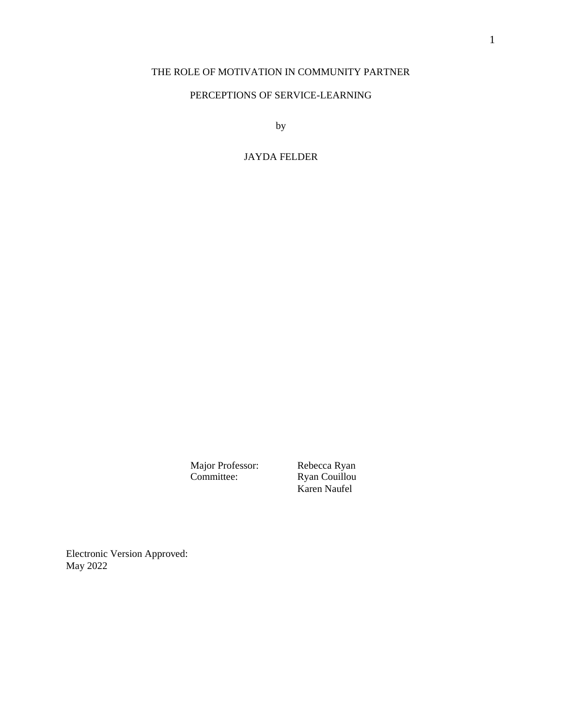# THE ROLE OF MOTIVATION IN COMMUNITY PARTNER

# PERCEPTIONS OF SERVICE-LEARNING

by

# JAYDA FELDER

Major Professor:<br>Committee:

Rebecca Ryan<br>Ryan Couillou Karen Naufel

Electronic Version Approved: May 2022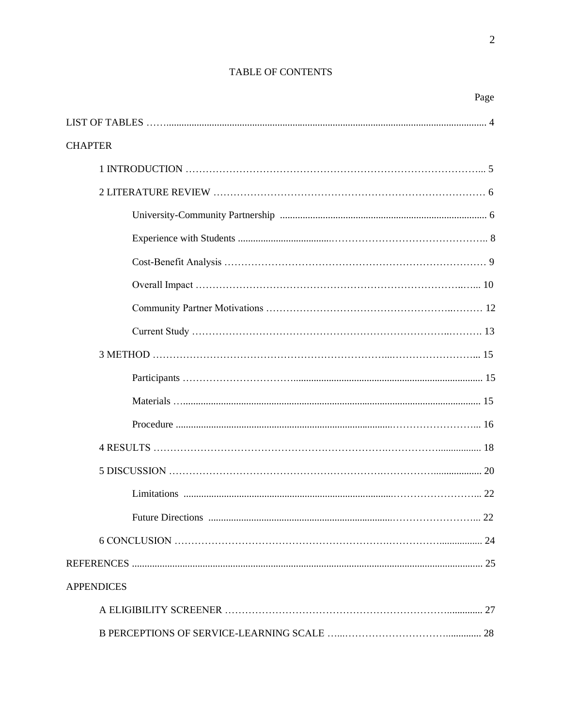# TABLE OF CONTENTS

|                   | Page |
|-------------------|------|
|                   |      |
| <b>CHAPTER</b>    |      |
|                   |      |
|                   |      |
|                   |      |
|                   |      |
|                   |      |
|                   |      |
|                   |      |
|                   |      |
|                   |      |
|                   |      |
|                   |      |
|                   |      |
|                   |      |
|                   |      |
|                   |      |
|                   |      |
|                   |      |
|                   |      |
| <b>APPENDICES</b> |      |
|                   |      |
|                   |      |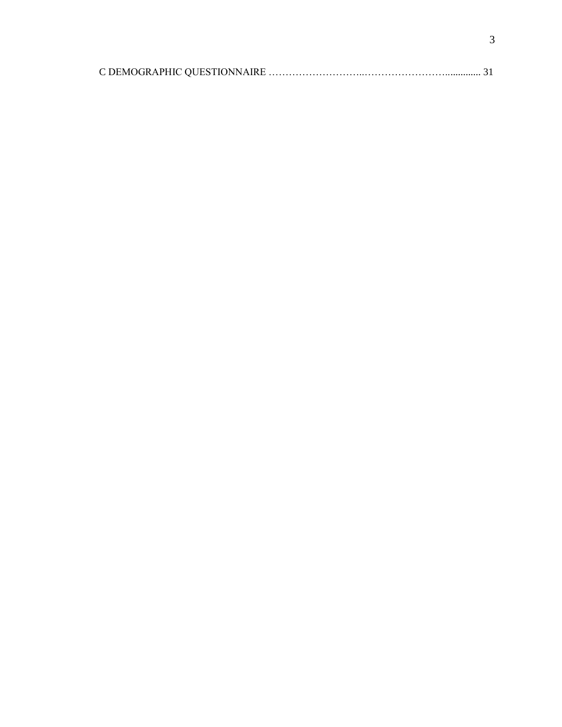|--|--|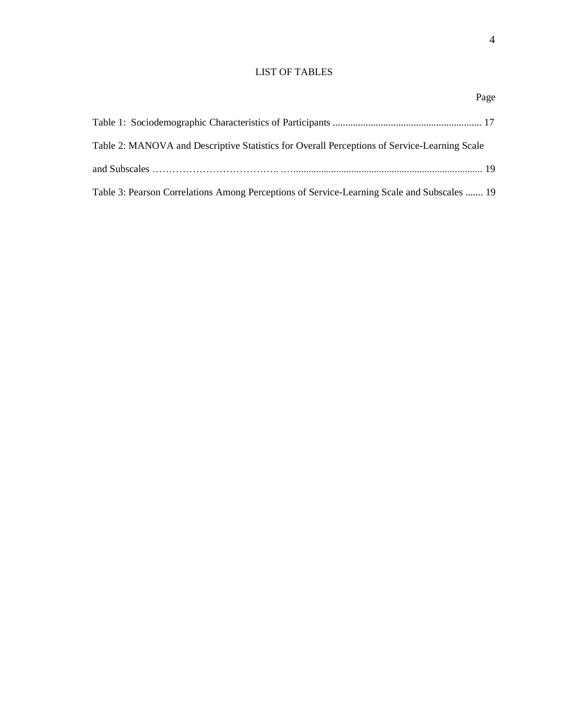# LIST OF TABLES

|  | Page |
|--|------|
|--|------|

| Table 2: MANOVA and Descriptive Statistics for Overall Perceptions of Service-Learning Scale |
|----------------------------------------------------------------------------------------------|
|                                                                                              |
| Table 3: Pearson Correlations Among Perceptions of Service-Learning Scale and Subscales  19  |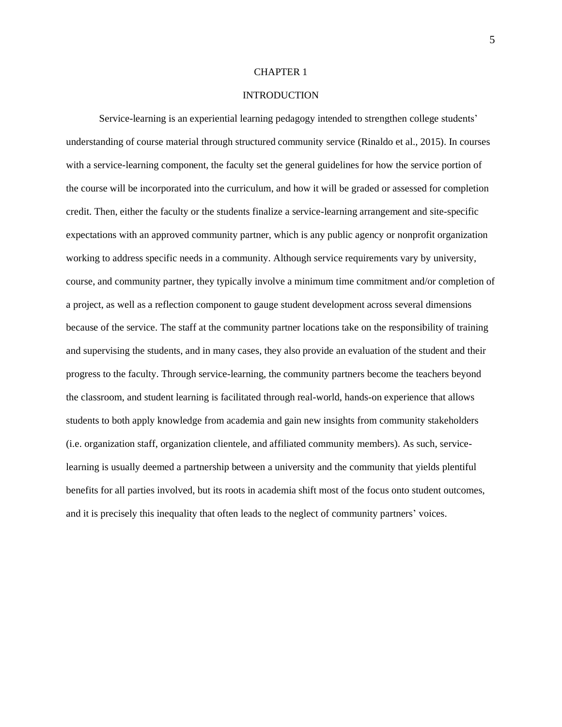#### CHAPTER 1

#### INTRODUCTION

Service-learning is an experiential learning pedagogy intended to strengthen college students' understanding of course material through structured community service (Rinaldo et al., 2015). In courses with a service-learning component, the faculty set the general guidelines for how the service portion of the course will be incorporated into the curriculum, and how it will be graded or assessed for completion credit. Then, either the faculty or the students finalize a service-learning arrangement and site-specific expectations with an approved community partner, which is any public agency or nonprofit organization working to address specific needs in a community. Although service requirements vary by university, course, and community partner, they typically involve a minimum time commitment and/or completion of a project, as well as a reflection component to gauge student development across several dimensions because of the service. The staff at the community partner locations take on the responsibility of training and supervising the students, and in many cases, they also provide an evaluation of the student and their progress to the faculty. Through service-learning, the community partners become the teachers beyond the classroom, and student learning is facilitated through real-world, hands-on experience that allows students to both apply knowledge from academia and gain new insights from community stakeholders (i.e. organization staff, organization clientele, and affiliated community members). As such, servicelearning is usually deemed a partnership between a university and the community that yields plentiful benefits for all parties involved, but its roots in academia shift most of the focus onto student outcomes, and it is precisely this inequality that often leads to the neglect of community partners' voices.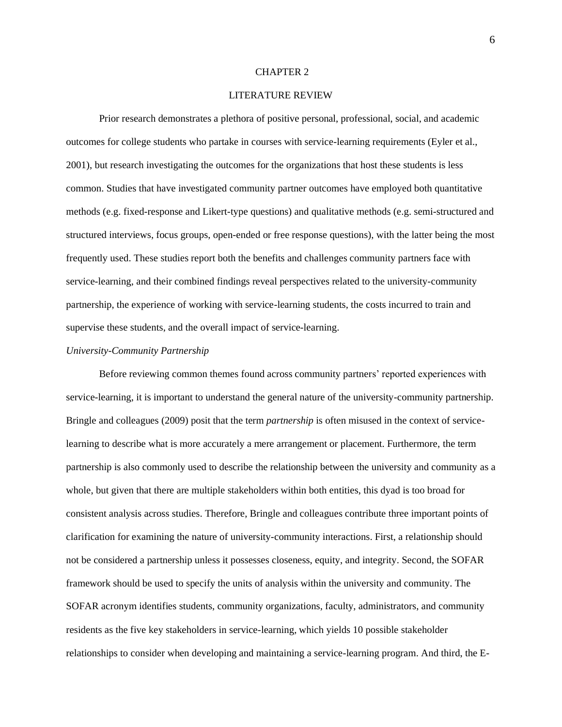#### CHAPTER 2

### LITERATURE REVIEW

Prior research demonstrates a plethora of positive personal, professional, social, and academic outcomes for college students who partake in courses with service-learning requirements (Eyler et al., 2001), but research investigating the outcomes for the organizations that host these students is less common. Studies that have investigated community partner outcomes have employed both quantitative methods (e.g. fixed-response and Likert-type questions) and qualitative methods (e.g. semi-structured and structured interviews, focus groups, open-ended or free response questions), with the latter being the most frequently used. These studies report both the benefits and challenges community partners face with service-learning, and their combined findings reveal perspectives related to the university-community partnership, the experience of working with service-learning students, the costs incurred to train and supervise these students, and the overall impact of service-learning.

#### *University-Community Partnership*

Before reviewing common themes found across community partners' reported experiences with service-learning, it is important to understand the general nature of the university-community partnership. Bringle and colleagues (2009) posit that the term *partnership* is often misused in the context of servicelearning to describe what is more accurately a mere arrangement or placement. Furthermore, the term partnership is also commonly used to describe the relationship between the university and community as a whole, but given that there are multiple stakeholders within both entities, this dyad is too broad for consistent analysis across studies. Therefore, Bringle and colleagues contribute three important points of clarification for examining the nature of university-community interactions. First, a relationship should not be considered a partnership unless it possesses closeness, equity, and integrity. Second, the SOFAR framework should be used to specify the units of analysis within the university and community. The SOFAR acronym identifies students, community organizations, faculty, administrators, and community residents as the five key stakeholders in service-learning, which yields 10 possible stakeholder relationships to consider when developing and maintaining a service-learning program. And third, the E-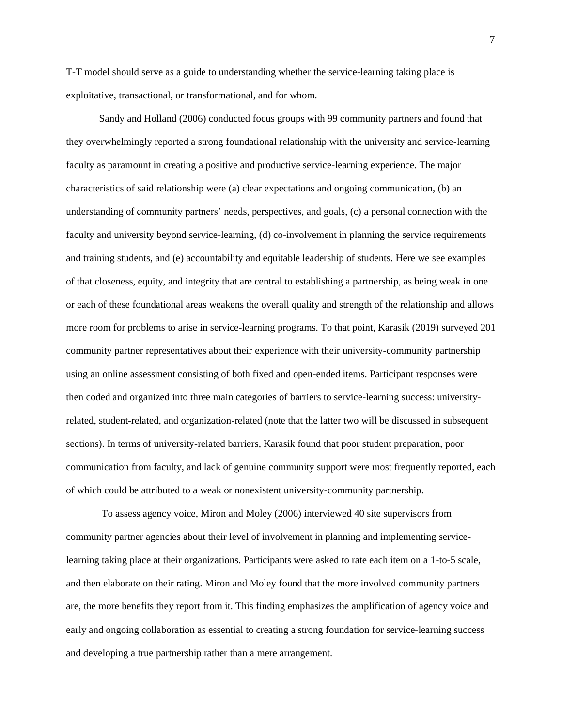T-T model should serve as a guide to understanding whether the service-learning taking place is exploitative, transactional, or transformational, and for whom.

Sandy and Holland (2006) conducted focus groups with 99 community partners and found that they overwhelmingly reported a strong foundational relationship with the university and service-learning faculty as paramount in creating a positive and productive service-learning experience. The major characteristics of said relationship were (a) clear expectations and ongoing communication, (b) an understanding of community partners' needs, perspectives, and goals, (c) a personal connection with the faculty and university beyond service-learning, (d) co-involvement in planning the service requirements and training students, and (e) accountability and equitable leadership of students. Here we see examples of that closeness, equity, and integrity that are central to establishing a partnership, as being weak in one or each of these foundational areas weakens the overall quality and strength of the relationship and allows more room for problems to arise in service-learning programs. To that point, Karasik (2019) surveyed 201 community partner representatives about their experience with their university-community partnership using an online assessment consisting of both fixed and open-ended items. Participant responses were then coded and organized into three main categories of barriers to service-learning success: universityrelated, student-related, and organization-related (note that the latter two will be discussed in subsequent sections). In terms of university-related barriers, Karasik found that poor student preparation, poor communication from faculty, and lack of genuine community support were most frequently reported, each of which could be attributed to a weak or nonexistent university-community partnership.

To assess agency voice, Miron and Moley (2006) interviewed 40 site supervisors from community partner agencies about their level of involvement in planning and implementing servicelearning taking place at their organizations. Participants were asked to rate each item on a 1-to-5 scale, and then elaborate on their rating. Miron and Moley found that the more involved community partners are, the more benefits they report from it. This finding emphasizes the amplification of agency voice and early and ongoing collaboration as essential to creating a strong foundation for service-learning success and developing a true partnership rather than a mere arrangement.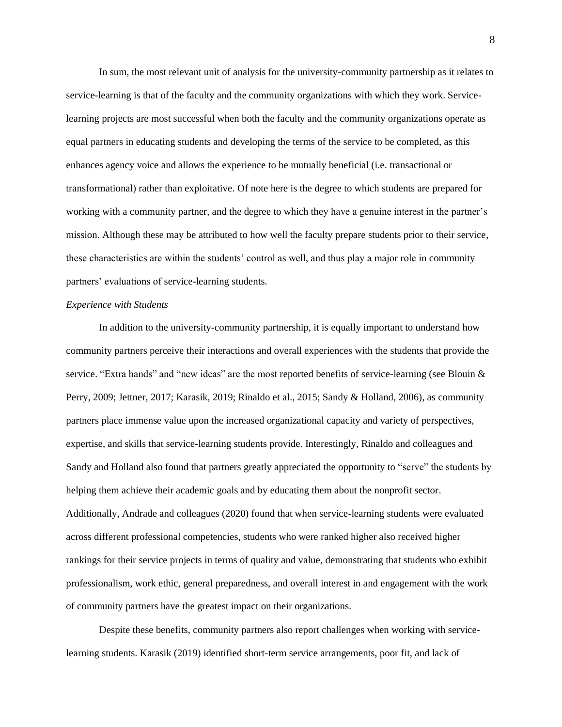In sum, the most relevant unit of analysis for the university-community partnership as it relates to service-learning is that of the faculty and the community organizations with which they work. Servicelearning projects are most successful when both the faculty and the community organizations operate as equal partners in educating students and developing the terms of the service to be completed, as this enhances agency voice and allows the experience to be mutually beneficial (i.e. transactional or transformational) rather than exploitative. Of note here is the degree to which students are prepared for working with a community partner, and the degree to which they have a genuine interest in the partner's mission. Although these may be attributed to how well the faculty prepare students prior to their service, these characteristics are within the students' control as well, and thus play a major role in community partners' evaluations of service-learning students.

#### *Experience with Students*

In addition to the university-community partnership, it is equally important to understand how community partners perceive their interactions and overall experiences with the students that provide the service. "Extra hands" and "new ideas" are the most reported benefits of service-learning (see Blouin & Perry, 2009; Jettner, 2017; Karasik, 2019; Rinaldo et al., 2015; Sandy & Holland, 2006), as community partners place immense value upon the increased organizational capacity and variety of perspectives, expertise, and skills that service-learning students provide. Interestingly, Rinaldo and colleagues and Sandy and Holland also found that partners greatly appreciated the opportunity to "serve" the students by helping them achieve their academic goals and by educating them about the nonprofit sector. Additionally, Andrade and colleagues (2020) found that when service-learning students were evaluated across different professional competencies, students who were ranked higher also received higher rankings for their service projects in terms of quality and value, demonstrating that students who exhibit professionalism, work ethic, general preparedness, and overall interest in and engagement with the work of community partners have the greatest impact on their organizations.

Despite these benefits, community partners also report challenges when working with servicelearning students. Karasik (2019) identified short-term service arrangements, poor fit, and lack of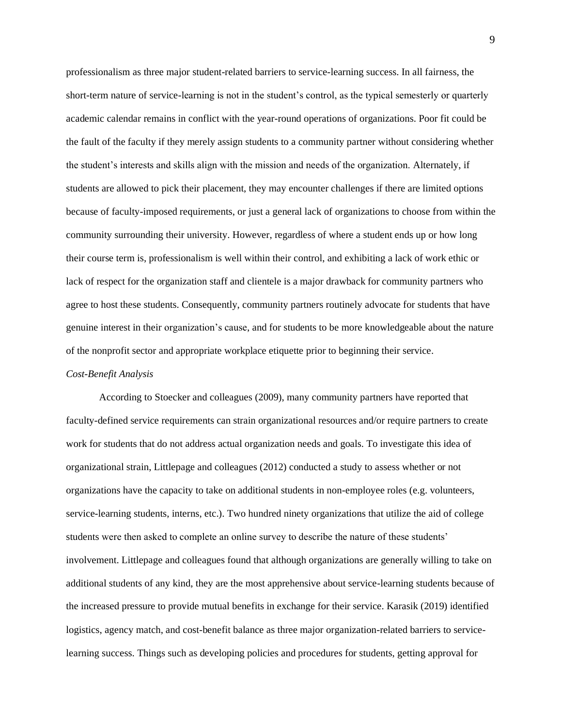professionalism as three major student-related barriers to service-learning success. In all fairness, the short-term nature of service-learning is not in the student's control, as the typical semesterly or quarterly academic calendar remains in conflict with the year-round operations of organizations. Poor fit could be the fault of the faculty if they merely assign students to a community partner without considering whether the student's interests and skills align with the mission and needs of the organization. Alternately, if students are allowed to pick their placement, they may encounter challenges if there are limited options because of faculty-imposed requirements, or just a general lack of organizations to choose from within the community surrounding their university. However, regardless of where a student ends up or how long their course term is, professionalism is well within their control, and exhibiting a lack of work ethic or lack of respect for the organization staff and clientele is a major drawback for community partners who agree to host these students. Consequently, community partners routinely advocate for students that have genuine interest in their organization's cause, and for students to be more knowledgeable about the nature of the nonprofit sector and appropriate workplace etiquette prior to beginning their service.

#### *Cost-Benefit Analysis*

According to Stoecker and colleagues (2009), many community partners have reported that faculty-defined service requirements can strain organizational resources and/or require partners to create work for students that do not address actual organization needs and goals. To investigate this idea of organizational strain, Littlepage and colleagues (2012) conducted a study to assess whether or not organizations have the capacity to take on additional students in non-employee roles (e.g. volunteers, service-learning students, interns, etc.). Two hundred ninety organizations that utilize the aid of college students were then asked to complete an online survey to describe the nature of these students' involvement. Littlepage and colleagues found that although organizations are generally willing to take on additional students of any kind, they are the most apprehensive about service-learning students because of the increased pressure to provide mutual benefits in exchange for their service. Karasik (2019) identified logistics, agency match, and cost-benefit balance as three major organization-related barriers to servicelearning success. Things such as developing policies and procedures for students, getting approval for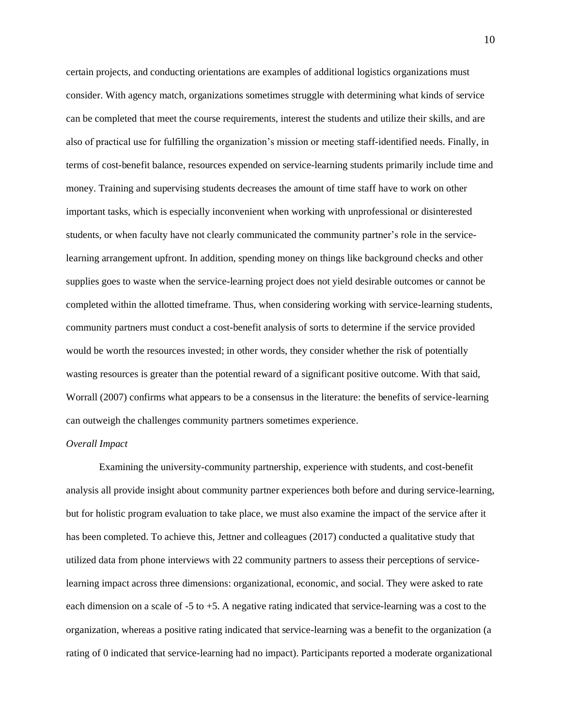certain projects, and conducting orientations are examples of additional logistics organizations must consider. With agency match, organizations sometimes struggle with determining what kinds of service can be completed that meet the course requirements, interest the students and utilize their skills, and are also of practical use for fulfilling the organization's mission or meeting staff-identified needs. Finally, in terms of cost-benefit balance, resources expended on service-learning students primarily include time and money. Training and supervising students decreases the amount of time staff have to work on other important tasks, which is especially inconvenient when working with unprofessional or disinterested students, or when faculty have not clearly communicated the community partner's role in the servicelearning arrangement upfront. In addition, spending money on things like background checks and other supplies goes to waste when the service-learning project does not yield desirable outcomes or cannot be completed within the allotted timeframe. Thus, when considering working with service-learning students, community partners must conduct a cost-benefit analysis of sorts to determine if the service provided would be worth the resources invested; in other words, they consider whether the risk of potentially wasting resources is greater than the potential reward of a significant positive outcome. With that said, Worrall (2007) confirms what appears to be a consensus in the literature: the benefits of service-learning can outweigh the challenges community partners sometimes experience.

# *Overall Impact*

Examining the university-community partnership, experience with students, and cost-benefit analysis all provide insight about community partner experiences both before and during service-learning, but for holistic program evaluation to take place, we must also examine the impact of the service after it has been completed. To achieve this, Jettner and colleagues (2017) conducted a qualitative study that utilized data from phone interviews with 22 community partners to assess their perceptions of servicelearning impact across three dimensions: organizational, economic, and social. They were asked to rate each dimension on a scale of -5 to +5. A negative rating indicated that service-learning was a cost to the organization, whereas a positive rating indicated that service-learning was a benefit to the organization (a rating of 0 indicated that service-learning had no impact). Participants reported a moderate organizational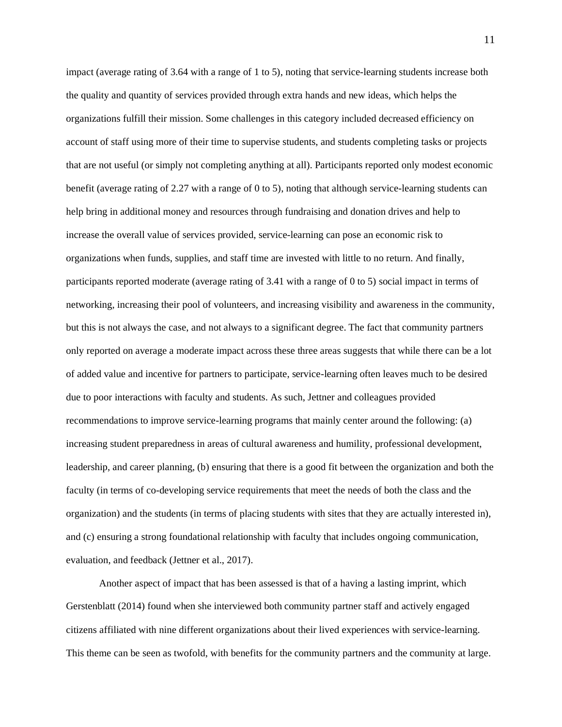impact (average rating of 3.64 with a range of 1 to 5), noting that service-learning students increase both the quality and quantity of services provided through extra hands and new ideas, which helps the organizations fulfill their mission. Some challenges in this category included decreased efficiency on account of staff using more of their time to supervise students, and students completing tasks or projects that are not useful (or simply not completing anything at all). Participants reported only modest economic benefit (average rating of 2.27 with a range of 0 to 5), noting that although service-learning students can help bring in additional money and resources through fundraising and donation drives and help to increase the overall value of services provided, service-learning can pose an economic risk to organizations when funds, supplies, and staff time are invested with little to no return. And finally, participants reported moderate (average rating of 3.41 with a range of 0 to 5) social impact in terms of networking, increasing their pool of volunteers, and increasing visibility and awareness in the community, but this is not always the case, and not always to a significant degree. The fact that community partners only reported on average a moderate impact across these three areas suggests that while there can be a lot of added value and incentive for partners to participate, service-learning often leaves much to be desired due to poor interactions with faculty and students. As such, Jettner and colleagues provided recommendations to improve service-learning programs that mainly center around the following: (a) increasing student preparedness in areas of cultural awareness and humility, professional development, leadership, and career planning, (b) ensuring that there is a good fit between the organization and both the faculty (in terms of co-developing service requirements that meet the needs of both the class and the organization) and the students (in terms of placing students with sites that they are actually interested in), and (c) ensuring a strong foundational relationship with faculty that includes ongoing communication, evaluation, and feedback (Jettner et al., 2017).

Another aspect of impact that has been assessed is that of a having a lasting imprint, which Gerstenblatt (2014) found when she interviewed both community partner staff and actively engaged citizens affiliated with nine different organizations about their lived experiences with service-learning. This theme can be seen as twofold, with benefits for the community partners and the community at large.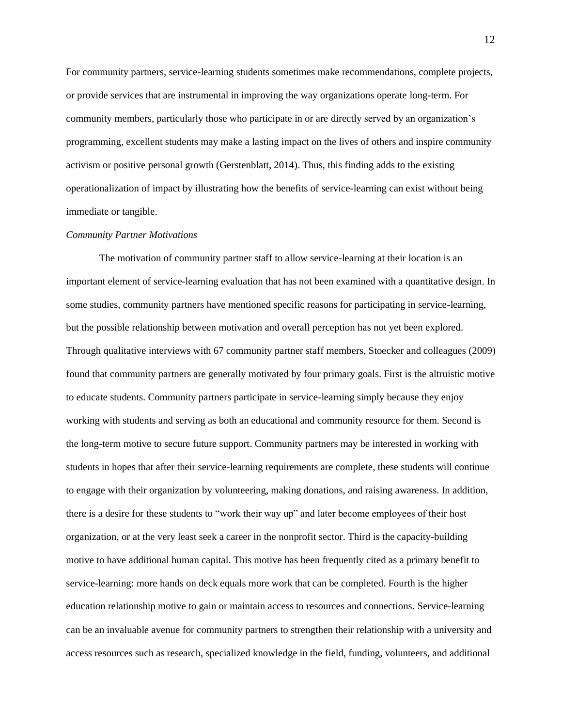For community partners, service-learning students sometimes make recommendations, complete projects, or provide services that are instrumental in improving the way organizations operate long-term. For community members, particularly those who participate in or are directly served by an organization's programming, excellent students may make a lasting impact on the lives of others and inspire community activism or positive personal growth (Gerstenblatt, 2014). Thus, this finding adds to the existing operationalization of impact by illustrating how the benefits of service-learning can exist without being immediate or tangible.

#### *Community Partner Motivations*

The motivation of community partner staff to allow service-learning at their location is an important element of service-learning evaluation that has not been examined with a quantitative design. In some studies, community partners have mentioned specific reasons for participating in service-learning, but the possible relationship between motivation and overall perception has not yet been explored. Through qualitative interviews with 67 community partner staff members, Stoecker and colleagues (2009) found that community partners are generally motivated by four primary goals. First is the altruistic motive to educate students. Community partners participate in service-learning simply because they enjoy working with students and serving as both an educational and community resource for them. Second is the long-term motive to secure future support. Community partners may be interested in working with students in hopes that after their service-learning requirements are complete, these students will continue to engage with their organization by volunteering, making donations, and raising awareness. In addition, there is a desire for these students to "work their way up" and later become employees of their host organization, or at the very least seek a career in the nonprofit sector. Third is the capacity-building motive to have additional human capital. This motive has been frequently cited as a primary benefit to service-learning: more hands on deck equals more work that can be completed. Fourth is the higher education relationship motive to gain or maintain access to resources and connections. Service-learning can be an invaluable avenue for community partners to strengthen their relationship with a university and access resources such as research, specialized knowledge in the field, funding, volunteers, and additional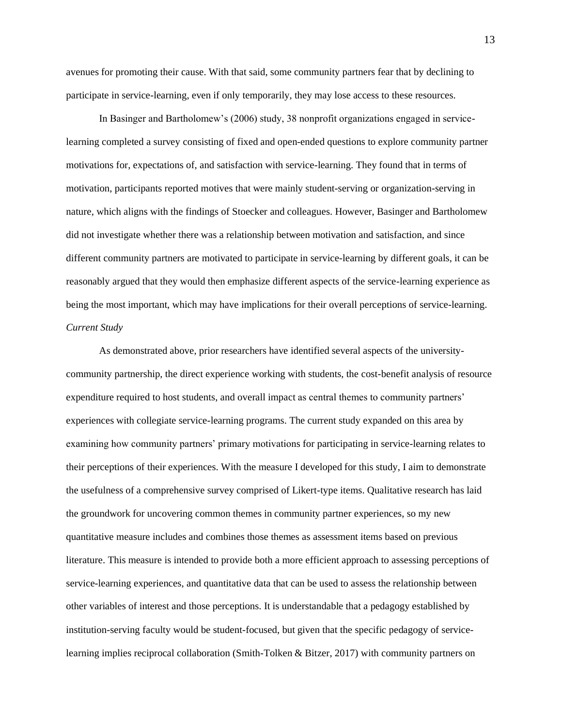avenues for promoting their cause. With that said, some community partners fear that by declining to participate in service-learning, even if only temporarily, they may lose access to these resources.

In Basinger and Bartholomew's (2006) study, 38 nonprofit organizations engaged in servicelearning completed a survey consisting of fixed and open-ended questions to explore community partner motivations for, expectations of, and satisfaction with service-learning. They found that in terms of motivation, participants reported motives that were mainly student-serving or organization-serving in nature, which aligns with the findings of Stoecker and colleagues. However, Basinger and Bartholomew did not investigate whether there was a relationship between motivation and satisfaction, and since different community partners are motivated to participate in service-learning by different goals, it can be reasonably argued that they would then emphasize different aspects of the service-learning experience as being the most important, which may have implications for their overall perceptions of service-learning. *Current Study*

As demonstrated above, prior researchers have identified several aspects of the universitycommunity partnership, the direct experience working with students, the cost-benefit analysis of resource expenditure required to host students, and overall impact as central themes to community partners' experiences with collegiate service-learning programs. The current study expanded on this area by examining how community partners' primary motivations for participating in service-learning relates to their perceptions of their experiences. With the measure I developed for this study, I aim to demonstrate the usefulness of a comprehensive survey comprised of Likert-type items. Qualitative research has laid the groundwork for uncovering common themes in community partner experiences, so my new quantitative measure includes and combines those themes as assessment items based on previous literature. This measure is intended to provide both a more efficient approach to assessing perceptions of service-learning experiences, and quantitative data that can be used to assess the relationship between other variables of interest and those perceptions. It is understandable that a pedagogy established by institution-serving faculty would be student-focused, but given that the specific pedagogy of servicelearning implies reciprocal collaboration (Smith-Tolken & Bitzer, 2017) with community partners on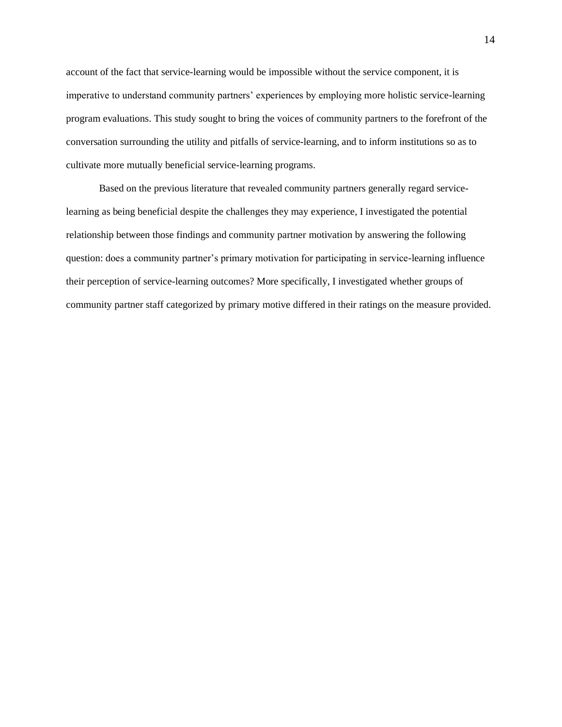account of the fact that service-learning would be impossible without the service component, it is imperative to understand community partners' experiences by employing more holistic service-learning program evaluations. This study sought to bring the voices of community partners to the forefront of the conversation surrounding the utility and pitfalls of service-learning, and to inform institutions so as to cultivate more mutually beneficial service-learning programs.

Based on the previous literature that revealed community partners generally regard servicelearning as being beneficial despite the challenges they may experience, I investigated the potential relationship between those findings and community partner motivation by answering the following question: does a community partner's primary motivation for participating in service-learning influence their perception of service-learning outcomes? More specifically, I investigated whether groups of community partner staff categorized by primary motive differed in their ratings on the measure provided.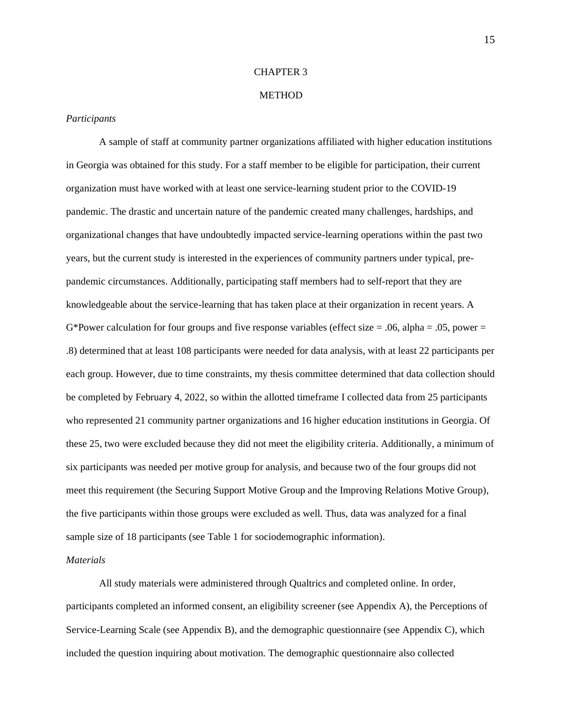#### CHAPTER 3

### **METHOD**

#### *Participants*

A sample of staff at community partner organizations affiliated with higher education institutions in Georgia was obtained for this study. For a staff member to be eligible for participation, their current organization must have worked with at least one service-learning student prior to the COVID-19 pandemic. The drastic and uncertain nature of the pandemic created many challenges, hardships, and organizational changes that have undoubtedly impacted service-learning operations within the past two years, but the current study is interested in the experiences of community partners under typical, prepandemic circumstances. Additionally, participating staff members had to self-report that they are knowledgeable about the service-learning that has taken place at their organization in recent years. A G\*Power calculation for four groups and five response variables (effect size  $= .06$ , alpha  $= .05$ , power  $=$ .8) determined that at least 108 participants were needed for data analysis, with at least 22 participants per each group. However, due to time constraints, my thesis committee determined that data collection should be completed by February 4, 2022, so within the allotted timeframe I collected data from 25 participants who represented 21 community partner organizations and 16 higher education institutions in Georgia. Of these 25, two were excluded because they did not meet the eligibility criteria. Additionally, a minimum of six participants was needed per motive group for analysis, and because two of the four groups did not meet this requirement (the Securing Support Motive Group and the Improving Relations Motive Group), the five participants within those groups were excluded as well. Thus, data was analyzed for a final sample size of 18 participants (see Table 1 for sociodemographic information).

## *Materials*

All study materials were administered through Qualtrics and completed online. In order, participants completed an informed consent, an eligibility screener (see Appendix A), the Perceptions of Service-Learning Scale (see Appendix B), and the demographic questionnaire (see Appendix C), which included the question inquiring about motivation. The demographic questionnaire also collected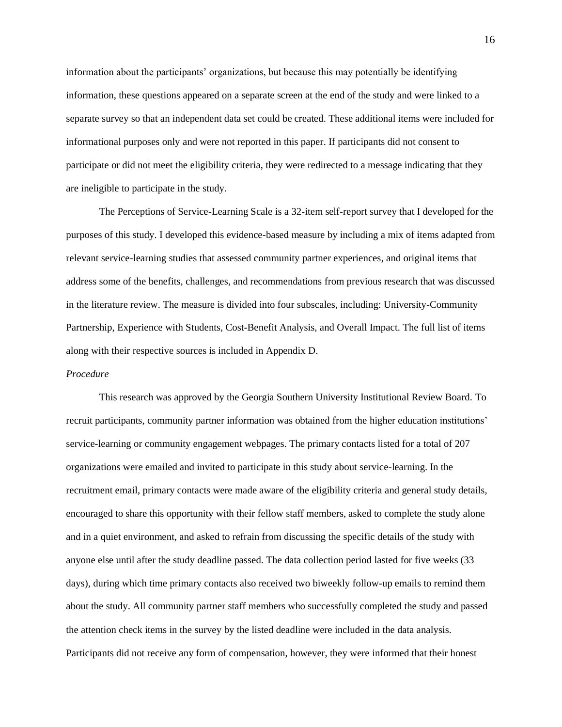information about the participants' organizations, but because this may potentially be identifying information, these questions appeared on a separate screen at the end of the study and were linked to a separate survey so that an independent data set could be created. These additional items were included for informational purposes only and were not reported in this paper. If participants did not consent to participate or did not meet the eligibility criteria, they were redirected to a message indicating that they are ineligible to participate in the study.

The Perceptions of Service-Learning Scale is a 32-item self-report survey that I developed for the purposes of this study. I developed this evidence-based measure by including a mix of items adapted from relevant service-learning studies that assessed community partner experiences, and original items that address some of the benefits, challenges, and recommendations from previous research that was discussed in the literature review. The measure is divided into four subscales, including: University-Community Partnership, Experience with Students, Cost-Benefit Analysis, and Overall Impact. The full list of items along with their respective sources is included in Appendix D.

# *Procedure*

This research was approved by the Georgia Southern University Institutional Review Board. To recruit participants, community partner information was obtained from the higher education institutions' service-learning or community engagement webpages. The primary contacts listed for a total of 207 organizations were emailed and invited to participate in this study about service-learning. In the recruitment email, primary contacts were made aware of the eligibility criteria and general study details, encouraged to share this opportunity with their fellow staff members, asked to complete the study alone and in a quiet environment, and asked to refrain from discussing the specific details of the study with anyone else until after the study deadline passed. The data collection period lasted for five weeks (33 days), during which time primary contacts also received two biweekly follow-up emails to remind them about the study. All community partner staff members who successfully completed the study and passed the attention check items in the survey by the listed deadline were included in the data analysis. Participants did not receive any form of compensation, however, they were informed that their honest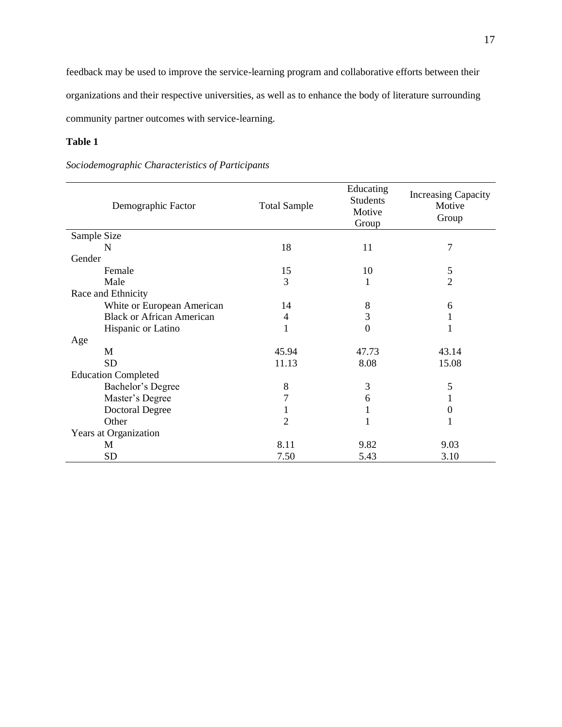feedback may be used to improve the service-learning program and collaborative efforts between their organizations and their respective universities, as well as to enhance the body of literature surrounding community partner outcomes with service-learning.

# **Table 1**

# *Sociodemographic Characteristics of Participants*

| Demographic Factor               | <b>Total Sample</b> | Educating<br><b>Students</b><br>Motive<br>Group | <b>Increasing Capacity</b><br>Motive<br>Group |
|----------------------------------|---------------------|-------------------------------------------------|-----------------------------------------------|
| Sample Size                      |                     |                                                 |                                               |
| N                                | 18                  | 11                                              | $\overline{7}$                                |
| Gender                           |                     |                                                 |                                               |
| Female                           | 15                  | 10                                              | 5                                             |
| Male                             | 3                   |                                                 | $\overline{2}$                                |
| Race and Ethnicity               |                     |                                                 |                                               |
| White or European American       | 14                  | 8                                               | 6                                             |
| <b>Black or African American</b> | 4                   | 3                                               | 1                                             |
| Hispanic or Latino               | 1                   | 0                                               |                                               |
| Age                              |                     |                                                 |                                               |
| M                                | 45.94               | 47.73                                           | 43.14                                         |
| <b>SD</b>                        | 11.13               | 8.08                                            | 15.08                                         |
| <b>Education Completed</b>       |                     |                                                 |                                               |
| Bachelor's Degree                | $8\,$               | 3                                               | 5                                             |
| Master's Degree                  | 7                   | 6                                               |                                               |
| <b>Doctoral Degree</b>           |                     |                                                 | $\boldsymbol{0}$                              |
| Other                            | 2                   | 1                                               | 1                                             |
| Years at Organization            |                     |                                                 |                                               |
| M                                | 8.11                | 9.82                                            | 9.03                                          |
| <b>SD</b>                        | 7.50                | 5.43                                            | 3.10                                          |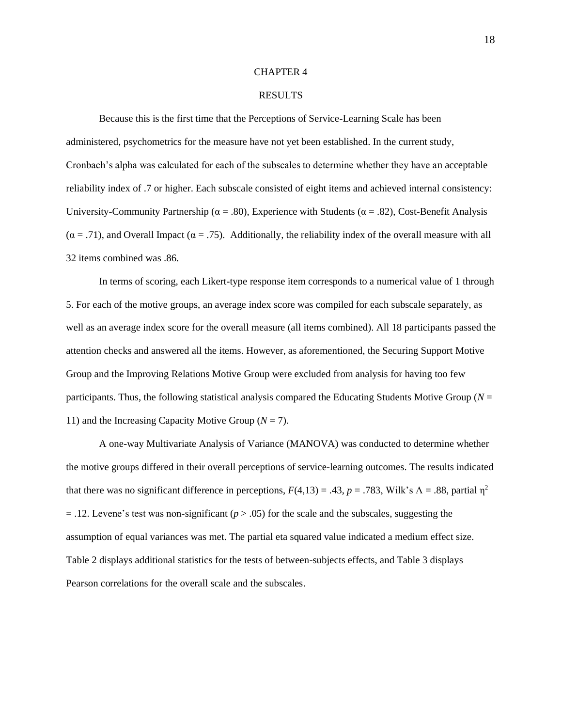#### CHAPTER 4

#### RESULTS

Because this is the first time that the Perceptions of Service-Learning Scale has been administered, psychometrics for the measure have not yet been established. In the current study, Cronbach's alpha was calculated for each of the subscales to determine whether they have an acceptable reliability index of .7 or higher. Each subscale consisted of eight items and achieved internal consistency: University-Community Partnership ( $\alpha = .80$ ), Experience with Students ( $\alpha = .82$ ), Cost-Benefit Analysis  $(\alpha = .71)$ , and Overall Impact  $(\alpha = .75)$ . Additionally, the reliability index of the overall measure with all 32 items combined was .86.

In terms of scoring, each Likert-type response item corresponds to a numerical value of 1 through 5. For each of the motive groups, an average index score was compiled for each subscale separately, as well as an average index score for the overall measure (all items combined). All 18 participants passed the attention checks and answered all the items. However, as aforementioned, the Securing Support Motive Group and the Improving Relations Motive Group were excluded from analysis for having too few participants. Thus, the following statistical analysis compared the Educating Students Motive Group ( $N =$ 11) and the Increasing Capacity Motive Group  $(N = 7)$ .

A one-way Multivariate Analysis of Variance (MANOVA) was conducted to determine whether the motive groups differed in their overall perceptions of service-learning outcomes. The results indicated that there was no significant difference in perceptions,  $F(4,13) = .43$ ,  $p = .783$ , Wilk's  $\Lambda = .88$ , partial  $\eta^2$  $=$  .12. Levene's test was non-significant ( $p > .05$ ) for the scale and the subscales, suggesting the assumption of equal variances was met. The partial eta squared value indicated a medium effect size. Table 2 displays additional statistics for the tests of between-subjects effects, and Table 3 displays Pearson correlations for the overall scale and the subscales.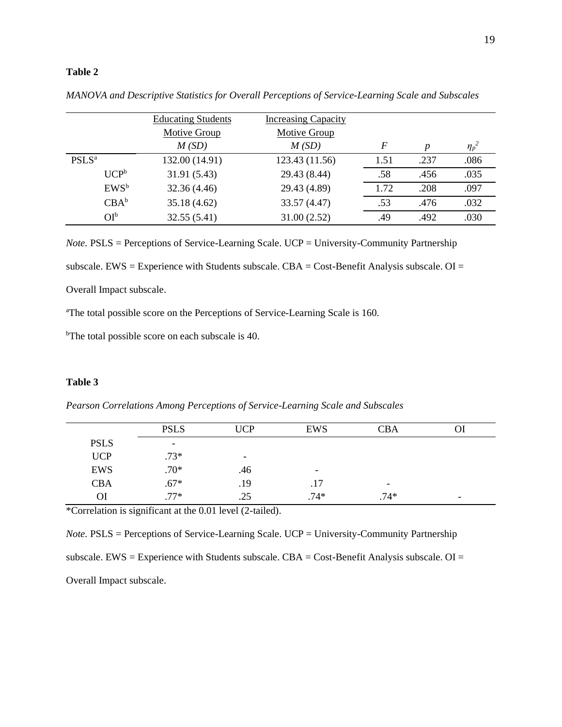# **Table 2**

|                          | <b>Educating Students</b> | <b>Increasing Capacity</b> |                  |                  |            |
|--------------------------|---------------------------|----------------------------|------------------|------------------|------------|
|                          | Motive Group<br>M(SD)     | Motive Group<br>M(SD)      | $\boldsymbol{F}$ | $\boldsymbol{p}$ | $\eta_p^2$ |
| <b>PSLS</b> <sup>a</sup> | 132.00 (14.91)            | 123.43 (11.56)             | 1.51             | .237             | .086       |
| UCP <sup>b</sup>         | 31.91 (5.43)              | 29.43 (8.44)               | .58              | .456             | .035       |
| $EWS^b$                  | 32.36 (4.46)              | 29.43 (4.89)               | 1.72             | .208             | .097       |
| $CBA^b$                  | 35.18 (4.62)              | 33.57 (4.47)               | .53              | .476             | .032       |
| $OI^b$                   | 32.55(5.41)               | 31.00(2.52)                | .49              | .492             | .030       |

*MANOVA and Descriptive Statistics for Overall Perceptions of Service-Learning Scale and Subscales*

*Note.* PSLS = Perceptions of Service-Learning Scale. UCP = University-Community Partnership subscale. EWS = Experience with Students subscale.  $CBA = Cost-Benefit$  Analysis subscale.  $OI =$ 

Overall Impact subscale.

<sup>a</sup>The total possible score on the Perceptions of Service-Learning Scale is 160.

<sup>b</sup>The total possible score on each subscale is 40.

### **Table 3**

|             | <b>PSLS</b>              | <b>UCP</b>               | <b>EWS</b>               | <b>CBA</b>               |                          |  |
|-------------|--------------------------|--------------------------|--------------------------|--------------------------|--------------------------|--|
| <b>PSLS</b> | $\overline{\phantom{0}}$ |                          |                          |                          |                          |  |
| <b>UCP</b>  | $.73*$                   | $\overline{\phantom{0}}$ |                          |                          |                          |  |
| <b>EWS</b>  | $.70*$                   | .46                      | $\overline{\phantom{0}}$ |                          |                          |  |
| <b>CBA</b>  | $.67*$                   | .19                      | .17                      | $\overline{\phantom{a}}$ |                          |  |
| ОI          | $77*$                    | .25                      | $.74*$                   | $.74*$                   | $\overline{\phantom{0}}$ |  |
|             |                          |                          |                          |                          |                          |  |

*Pearson Correlations Among Perceptions of Service-Learning Scale and Subscales*

\*Correlation is significant at the 0.01 level (2-tailed).

*Note.* PSLS = Perceptions of Service-Learning Scale. UCP = University-Community Partnership subscale. EWS = Experience with Students subscale.  $CBA = Cost$ -Benefit Analysis subscale.  $OI =$ Overall Impact subscale.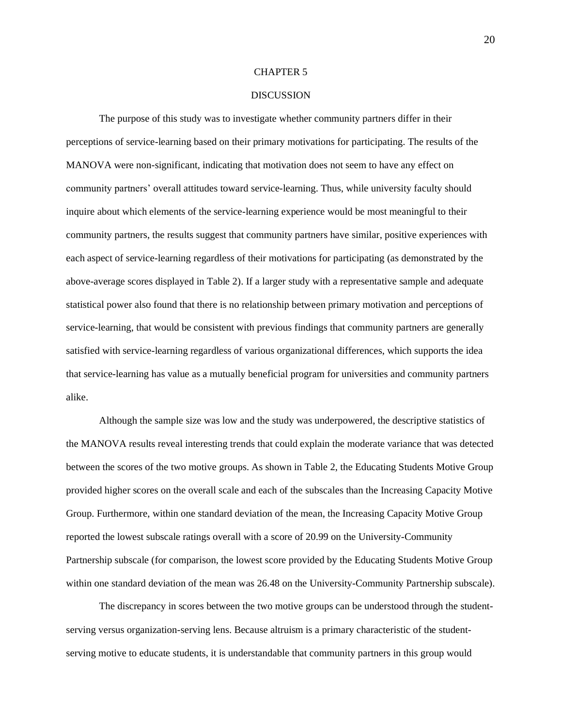#### CHAPTER 5

#### **DISCUSSION**

The purpose of this study was to investigate whether community partners differ in their perceptions of service-learning based on their primary motivations for participating. The results of the MANOVA were non-significant, indicating that motivation does not seem to have any effect on community partners' overall attitudes toward service-learning. Thus, while university faculty should inquire about which elements of the service-learning experience would be most meaningful to their community partners, the results suggest that community partners have similar, positive experiences with each aspect of service-learning regardless of their motivations for participating (as demonstrated by the above-average scores displayed in Table 2). If a larger study with a representative sample and adequate statistical power also found that there is no relationship between primary motivation and perceptions of service-learning, that would be consistent with previous findings that community partners are generally satisfied with service-learning regardless of various organizational differences, which supports the idea that service-learning has value as a mutually beneficial program for universities and community partners alike.

Although the sample size was low and the study was underpowered, the descriptive statistics of the MANOVA results reveal interesting trends that could explain the moderate variance that was detected between the scores of the two motive groups. As shown in Table 2, the Educating Students Motive Group provided higher scores on the overall scale and each of the subscales than the Increasing Capacity Motive Group. Furthermore, within one standard deviation of the mean, the Increasing Capacity Motive Group reported the lowest subscale ratings overall with a score of 20.99 on the University-Community Partnership subscale (for comparison, the lowest score provided by the Educating Students Motive Group within one standard deviation of the mean was 26.48 on the University-Community Partnership subscale).

The discrepancy in scores between the two motive groups can be understood through the studentserving versus organization-serving lens. Because altruism is a primary characteristic of the studentserving motive to educate students, it is understandable that community partners in this group would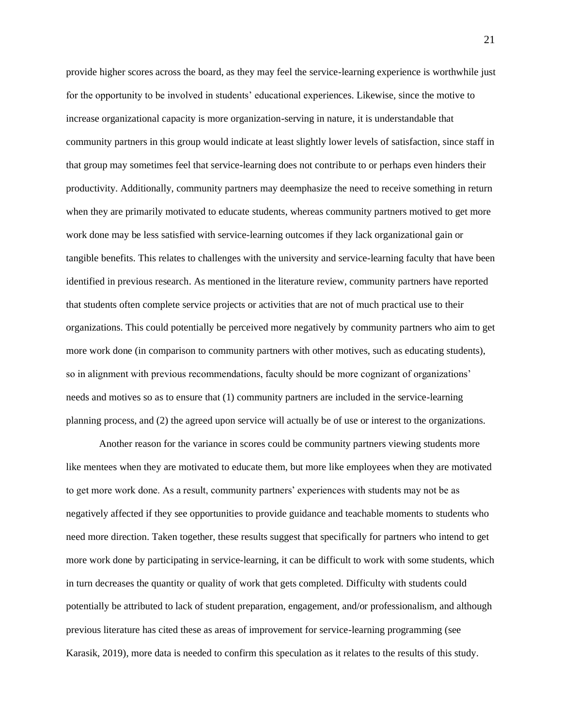provide higher scores across the board, as they may feel the service-learning experience is worthwhile just for the opportunity to be involved in students' educational experiences. Likewise, since the motive to increase organizational capacity is more organization-serving in nature, it is understandable that community partners in this group would indicate at least slightly lower levels of satisfaction, since staff in that group may sometimes feel that service-learning does not contribute to or perhaps even hinders their productivity. Additionally, community partners may deemphasize the need to receive something in return when they are primarily motivated to educate students, whereas community partners motived to get more work done may be less satisfied with service-learning outcomes if they lack organizational gain or tangible benefits. This relates to challenges with the university and service-learning faculty that have been identified in previous research. As mentioned in the literature review, community partners have reported that students often complete service projects or activities that are not of much practical use to their organizations. This could potentially be perceived more negatively by community partners who aim to get more work done (in comparison to community partners with other motives, such as educating students), so in alignment with previous recommendations, faculty should be more cognizant of organizations' needs and motives so as to ensure that (1) community partners are included in the service-learning planning process, and (2) the agreed upon service will actually be of use or interest to the organizations.

Another reason for the variance in scores could be community partners viewing students more like mentees when they are motivated to educate them, but more like employees when they are motivated to get more work done. As a result, community partners' experiences with students may not be as negatively affected if they see opportunities to provide guidance and teachable moments to students who need more direction. Taken together, these results suggest that specifically for partners who intend to get more work done by participating in service-learning, it can be difficult to work with some students, which in turn decreases the quantity or quality of work that gets completed. Difficulty with students could potentially be attributed to lack of student preparation, engagement, and/or professionalism, and although previous literature has cited these as areas of improvement for service-learning programming (see Karasik, 2019), more data is needed to confirm this speculation as it relates to the results of this study.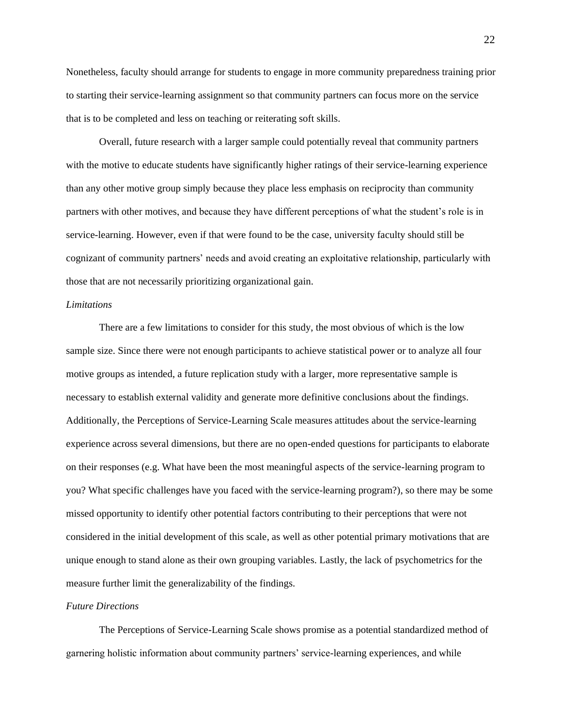Nonetheless, faculty should arrange for students to engage in more community preparedness training prior to starting their service-learning assignment so that community partners can focus more on the service that is to be completed and less on teaching or reiterating soft skills.

Overall, future research with a larger sample could potentially reveal that community partners with the motive to educate students have significantly higher ratings of their service-learning experience than any other motive group simply because they place less emphasis on reciprocity than community partners with other motives, and because they have different perceptions of what the student's role is in service-learning. However, even if that were found to be the case, university faculty should still be cognizant of community partners' needs and avoid creating an exploitative relationship, particularly with those that are not necessarily prioritizing organizational gain.

### *Limitations*

There are a few limitations to consider for this study, the most obvious of which is the low sample size. Since there were not enough participants to achieve statistical power or to analyze all four motive groups as intended, a future replication study with a larger, more representative sample is necessary to establish external validity and generate more definitive conclusions about the findings. Additionally, the Perceptions of Service-Learning Scale measures attitudes about the service-learning experience across several dimensions, but there are no open-ended questions for participants to elaborate on their responses (e.g. What have been the most meaningful aspects of the service-learning program to you? What specific challenges have you faced with the service-learning program?), so there may be some missed opportunity to identify other potential factors contributing to their perceptions that were not considered in the initial development of this scale, as well as other potential primary motivations that are unique enough to stand alone as their own grouping variables. Lastly, the lack of psychometrics for the measure further limit the generalizability of the findings.

# *Future Directions*

The Perceptions of Service-Learning Scale shows promise as a potential standardized method of garnering holistic information about community partners' service-learning experiences, and while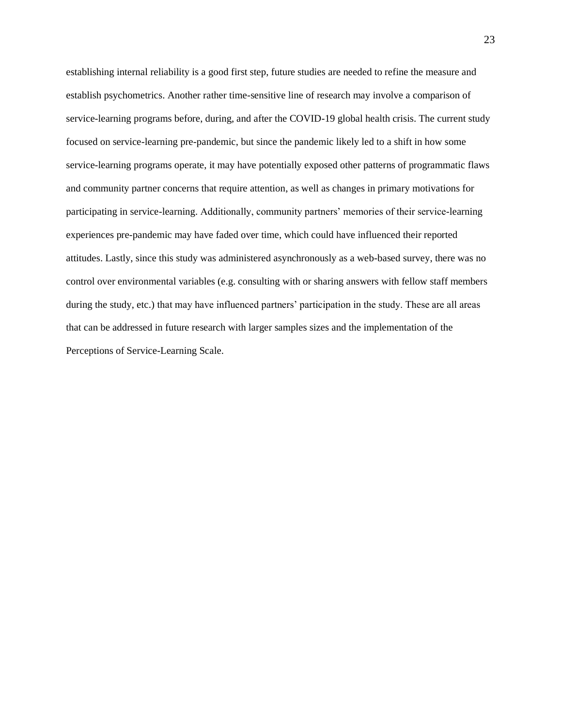establishing internal reliability is a good first step, future studies are needed to refine the measure and establish psychometrics. Another rather time-sensitive line of research may involve a comparison of service-learning programs before, during, and after the COVID-19 global health crisis. The current study focused on service-learning pre-pandemic, but since the pandemic likely led to a shift in how some service-learning programs operate, it may have potentially exposed other patterns of programmatic flaws and community partner concerns that require attention, as well as changes in primary motivations for participating in service-learning. Additionally, community partners' memories of their service-learning experiences pre-pandemic may have faded over time, which could have influenced their reported attitudes. Lastly, since this study was administered asynchronously as a web-based survey, there was no control over environmental variables (e.g. consulting with or sharing answers with fellow staff members during the study, etc.) that may have influenced partners' participation in the study. These are all areas that can be addressed in future research with larger samples sizes and the implementation of the Perceptions of Service-Learning Scale.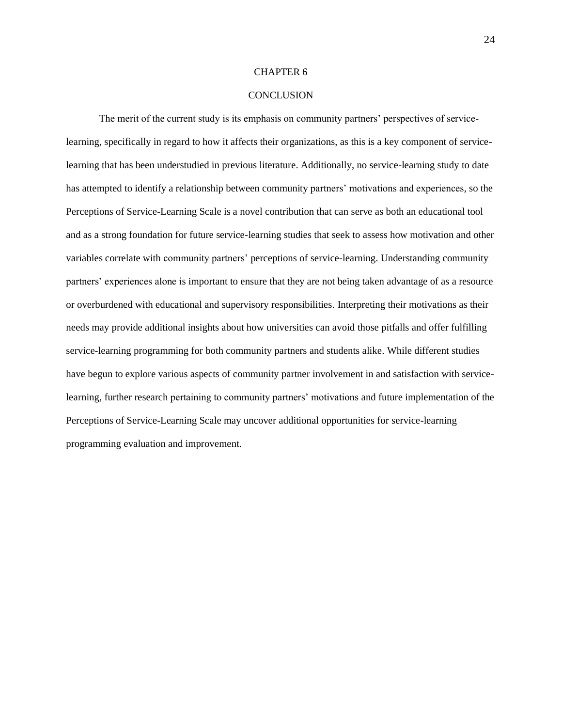#### CHAPTER 6

#### **CONCLUSION**

The merit of the current study is its emphasis on community partners' perspectives of servicelearning, specifically in regard to how it affects their organizations, as this is a key component of servicelearning that has been understudied in previous literature. Additionally, no service-learning study to date has attempted to identify a relationship between community partners' motivations and experiences, so the Perceptions of Service-Learning Scale is a novel contribution that can serve as both an educational tool and as a strong foundation for future service-learning studies that seek to assess how motivation and other variables correlate with community partners' perceptions of service-learning. Understanding community partners' experiences alone is important to ensure that they are not being taken advantage of as a resource or overburdened with educational and supervisory responsibilities. Interpreting their motivations as their needs may provide additional insights about how universities can avoid those pitfalls and offer fulfilling service-learning programming for both community partners and students alike. While different studies have begun to explore various aspects of community partner involvement in and satisfaction with servicelearning, further research pertaining to community partners' motivations and future implementation of the Perceptions of Service-Learning Scale may uncover additional opportunities for service-learning programming evaluation and improvement.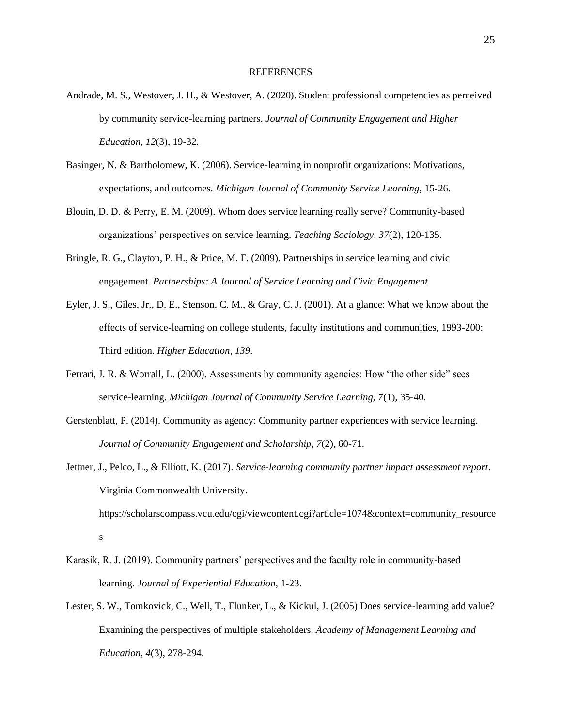#### REFERENCES

- Andrade, M. S., Westover, J. H., & Westover, A. (2020). Student professional competencies as perceived by community service-learning partners. *Journal of Community Engagement and Higher Education, 12*(3), 19-32.
- Basinger, N. & Bartholomew, K. (2006). Service-learning in nonprofit organizations: Motivations, expectations, and outcomes. *Michigan Journal of Community Service Learning*, 15-26.
- Blouin, D. D. & Perry, E. M. (2009). Whom does service learning really serve? Community-based organizations' perspectives on service learning. *Teaching Sociology, 37*(2), 120-135.
- Bringle, R. G., Clayton, P. H., & Price, M. F. (2009). Partnerships in service learning and civic engagement. *Partnerships: A Journal of Service Learning and Civic Engagement*.
- Eyler, J. S., Giles, Jr., D. E., Stenson, C. M., & Gray, C. J. (2001). At a glance: What we know about the effects of service-learning on college students, faculty institutions and communities, 1993-200: Third edition. *Higher Education, 139*.
- Ferrari, J. R. & Worrall, L. (2000). Assessments by community agencies: How "the other side" sees service-learning. *Michigan Journal of Community Service Learning, 7*(1), 35-40.
- Gerstenblatt, P. (2014). Community as agency: Community partner experiences with service learning. *Journal of Community Engagement and Scholarship, 7*(2), 60-71.
- Jettner, J., Pelco, L., & Elliott, K. (2017). *Service-learning community partner impact assessment report*. Virginia Commonwealth University.

https://scholarscompass.vcu.edu/cgi/viewcontent.cgi?article=1074&context=community\_resource s

- Karasik, R. J. (2019). Community partners' perspectives and the faculty role in community-based learning. *Journal of Experiential Education*, 1-23.
- Lester, S. W., Tomkovick, C., Well, T., Flunker, L., & Kickul, J. (2005) Does service-learning add value? Examining the perspectives of multiple stakeholders. *Academy of Management Learning and Education, 4*(3), 278-294.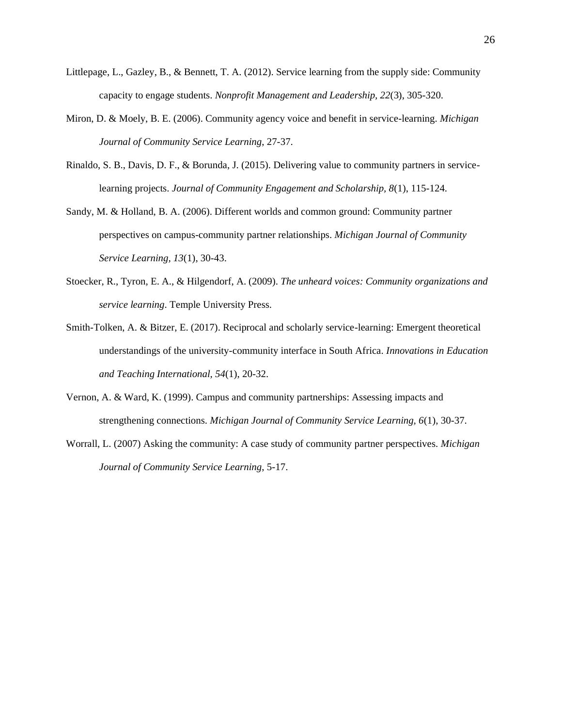- Littlepage, L., Gazley, B., & Bennett, T. A. (2012). Service learning from the supply side: Community capacity to engage students. *Nonprofit Management and Leadership, 22*(3), 305-320.
- Miron, D. & Moely, B. E. (2006). Community agency voice and benefit in service-learning. *Michigan Journal of Community Service Learning*, 27-37.
- Rinaldo, S. B., Davis, D. F., & Borunda, J. (2015). Delivering value to community partners in servicelearning projects. *Journal of Community Engagement and Scholarship, 8*(1), 115-124.
- Sandy, M. & Holland, B. A. (2006). Different worlds and common ground: Community partner perspectives on campus-community partner relationships. *Michigan Journal of Community Service Learning, 13*(1), 30-43.
- Stoecker, R., Tyron, E. A., & Hilgendorf, A. (2009). *The unheard voices: Community organizations and service learning*. Temple University Press.
- Smith-Tolken, A. & Bitzer, E. (2017). Reciprocal and scholarly service-learning: Emergent theoretical understandings of the university-community interface in South Africa. *Innovations in Education and Teaching International, 54*(1), 20-32.
- Vernon, A. & Ward, K. (1999). Campus and community partnerships: Assessing impacts and strengthening connections. *Michigan Journal of Community Service Learning, 6*(1), 30-37.
- Worrall, L. (2007) Asking the community: A case study of community partner perspectives. *Michigan Journal of Community Service Learning*, 5-17.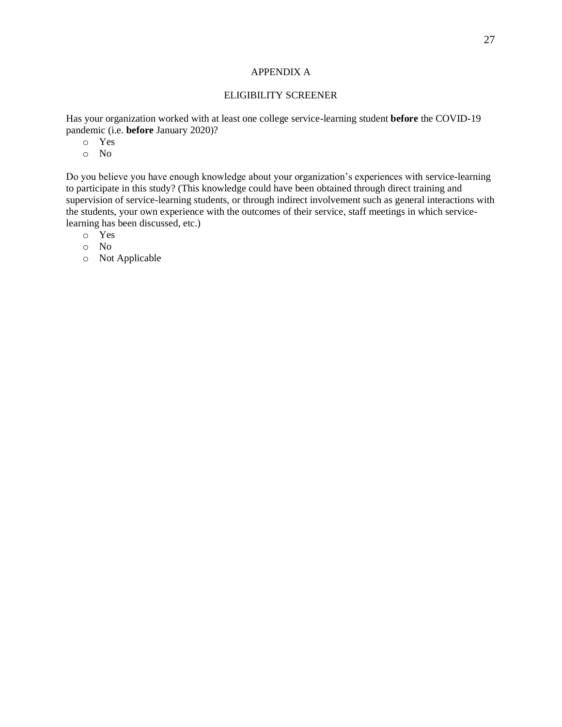# APPENDIX A

### ELIGIBILITY SCREENER

Has your organization worked with at least one college service-learning student **before** the COVID-19 pandemic (i.e. **before** January 2020)?

- o Yes
- o No

Do you believe you have enough knowledge about your organization's experiences with service-learning to participate in this study? (This knowledge could have been obtained through direct training and supervision of service-learning students, or through indirect involvement such as general interactions with the students, your own experience with the outcomes of their service, staff meetings in which servicelearning has been discussed, etc.)

- o Yes
- o No
- o Not Applicable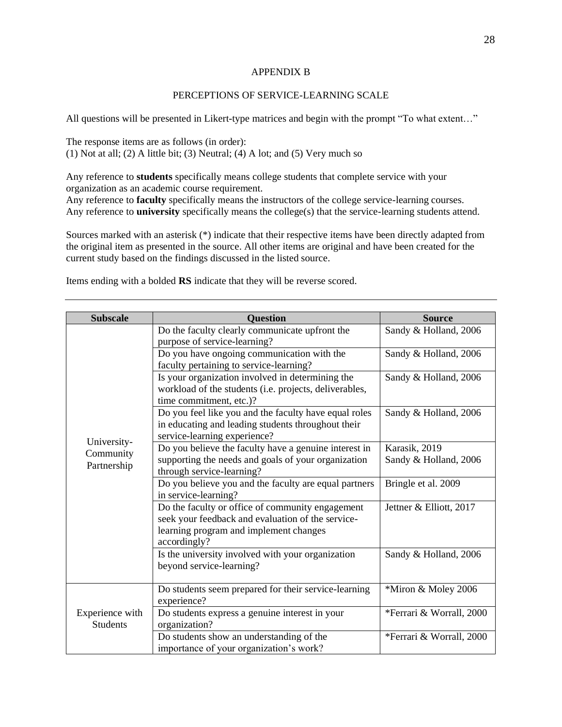# APPENDIX B

## PERCEPTIONS OF SERVICE-LEARNING SCALE

All questions will be presented in Likert-type matrices and begin with the prompt "To what extent…"

The response items are as follows (in order): (1) Not at all; (2) A little bit; (3) Neutral; (4) A lot; and (5) Very much so

Any reference to **students** specifically means college students that complete service with your organization as an academic course requirement. Any reference to **faculty** specifically means the instructors of the college service-learning courses.

Any reference to **university** specifically means the college(s) that the service-learning students attend.

Sources marked with an asterisk (\*) indicate that their respective items have been directly adapted from the original item as presented in the source. All other items are original and have been created for the current study based on the findings discussed in the listed source.

Items ending with a bolded **RS** indicate that they will be reverse scored.

| <b>Subscale</b>                    | <b>Question</b>                                                                                                                                                 | <b>Source</b>            |
|------------------------------------|-----------------------------------------------------------------------------------------------------------------------------------------------------------------|--------------------------|
|                                    | Do the faculty clearly communicate upfront the<br>purpose of service-learning?                                                                                  | Sandy & Holland, 2006    |
|                                    | Do you have ongoing communication with the<br>faculty pertaining to service-learning?                                                                           | Sandy & Holland, 2006    |
|                                    | Is your organization involved in determining the<br>workload of the students (i.e. projects, deliverables,<br>time commitment, etc.)?                           | Sandy & Holland, 2006    |
|                                    | Do you feel like you and the faculty have equal roles<br>in educating and leading students throughout their<br>service-learning experience?                     | Sandy & Holland, 2006    |
| University-<br>Community           | Do you believe the faculty have a genuine interest in                                                                                                           | Karasik, 2019            |
| Partnership                        | supporting the needs and goals of your organization<br>through service-learning?                                                                                | Sandy & Holland, 2006    |
|                                    | Do you believe you and the faculty are equal partners<br>in service-learning?                                                                                   | Bringle et al. 2009      |
|                                    | Do the faculty or office of community engagement<br>seek your feedback and evaluation of the service-<br>learning program and implement changes<br>accordingly? | Jettner & Elliott, 2017  |
|                                    | Is the university involved with your organization<br>beyond service-learning?                                                                                   | Sandy & Holland, 2006    |
|                                    | Do students seem prepared for their service-learning<br>experience?                                                                                             | *Miron & Moley 2006      |
| Experience with<br><b>Students</b> | Do students express a genuine interest in your<br>organization?                                                                                                 | *Ferrari & Worrall, 2000 |
|                                    | Do students show an understanding of the<br>importance of your organization's work?                                                                             | *Ferrari & Worrall, 2000 |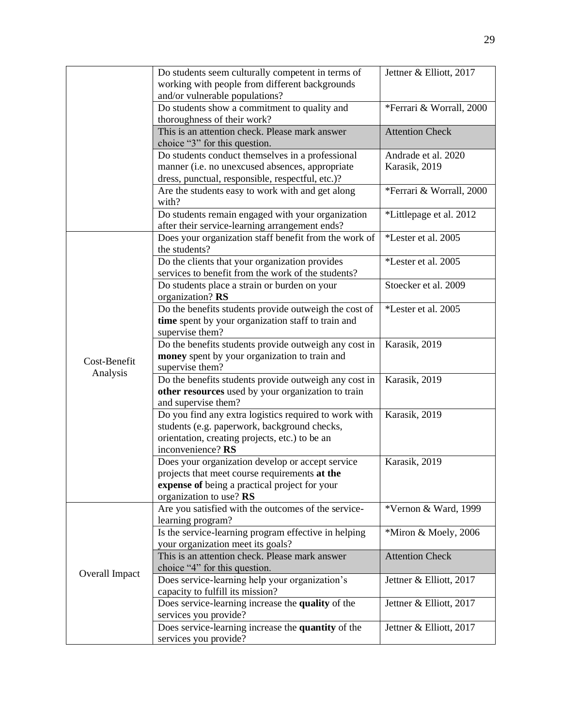|                | Do students seem culturally competent in terms of<br>working with people from different backgrounds | Jettner & Elliott, 2017  |
|----------------|-----------------------------------------------------------------------------------------------------|--------------------------|
|                | and/or vulnerable populations?                                                                      |                          |
|                | Do students show a commitment to quality and                                                        | *Ferrari & Worrall, 2000 |
|                | thoroughness of their work?                                                                         |                          |
|                | This is an attention check. Please mark answer                                                      | <b>Attention Check</b>   |
|                | choice "3" for this question.                                                                       |                          |
|                | Do students conduct themselves in a professional                                                    | Andrade et al. 2020      |
|                | manner (i.e. no unexcused absences, appropriate                                                     | Karasik, 2019            |
|                | dress, punctual, responsible, respectful, etc.)?                                                    |                          |
|                | Are the students easy to work with and get along                                                    | *Ferrari & Worrall, 2000 |
|                | with?                                                                                               |                          |
|                | Do students remain engaged with your organization                                                   | *Littlepage et al. 2012  |
|                | after their service-learning arrangement ends?                                                      |                          |
|                | Does your organization staff benefit from the work of                                               | *Lester et al. 2005      |
|                | the students?                                                                                       |                          |
|                | Do the clients that your organization provides                                                      | *Lester et al. 2005      |
|                | services to benefit from the work of the students?                                                  |                          |
|                | Do students place a strain or burden on your                                                        | Stoecker et al. 2009     |
|                | organization? RS                                                                                    |                          |
|                | Do the benefits students provide outweigh the cost of                                               | *Lester et al. 2005      |
|                | time spent by your organization staff to train and                                                  |                          |
|                | supervise them?                                                                                     |                          |
|                | Do the benefits students provide outweigh any cost in                                               | Karasik, 2019            |
| Cost-Benefit   | money spent by your organization to train and<br>supervise them?                                    |                          |
| Analysis       | Do the benefits students provide outweigh any cost in                                               | Karasik, 2019            |
|                | other resources used by your organization to train                                                  |                          |
|                | and supervise them?                                                                                 |                          |
|                | Do you find any extra logistics required to work with                                               | Karasik, 2019            |
|                | students (e.g. paperwork, background checks,                                                        |                          |
|                | orientation, creating projects, etc.) to be an                                                      |                          |
|                | inconvenience? RS                                                                                   |                          |
|                | Does your organization develop or accept service                                                    | Karasik, 2019            |
|                | projects that meet course requirements at the                                                       |                          |
|                | expense of being a practical project for your                                                       |                          |
|                | organization to use? RS                                                                             |                          |
|                | Are you satisfied with the outcomes of the service-<br>learning program?                            | *Vernon & Ward, 1999     |
|                | Is the service-learning program effective in helping                                                | *Miron & Moely, 2006     |
|                | your organization meet its goals?                                                                   |                          |
|                | This is an attention check. Please mark answer                                                      | <b>Attention Check</b>   |
|                | choice "4" for this question.                                                                       |                          |
| Overall Impact | Does service-learning help your organization's                                                      | Jettner & Elliott, 2017  |
|                | capacity to fulfill its mission?                                                                    |                          |
|                | Does service-learning increase the quality of the                                                   | Jettner & Elliott, 2017  |
|                | services you provide?                                                                               |                          |
|                | Does service-learning increase the quantity of the                                                  | Jettner & Elliott, 2017  |
|                | services you provide?                                                                               |                          |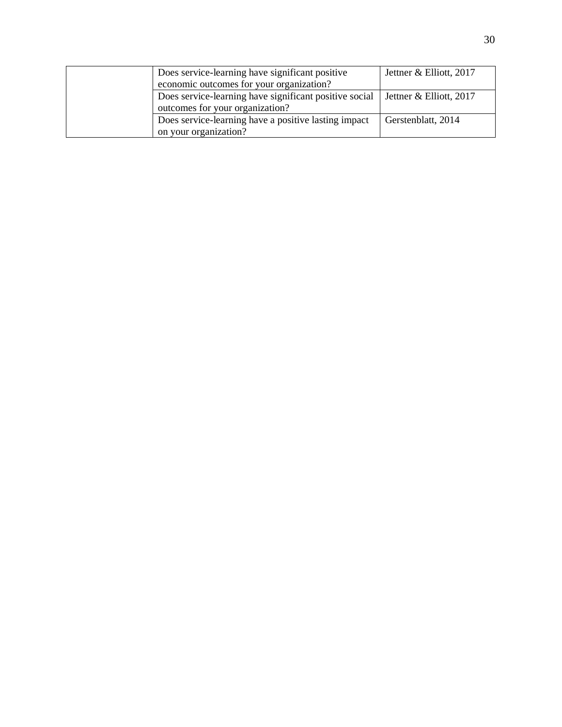| Does service-learning have significant positive        | Jettner & Elliott, 2017 |
|--------------------------------------------------------|-------------------------|
| economic outcomes for your organization?               |                         |
| Does service-learning have significant positive social | Jettner & Elliott, 2017 |
| outcomes for your organization?                        |                         |
| Does service-learning have a positive lasting impact   | Gerstenblatt, 2014      |
| on your organization?                                  |                         |
|                                                        |                         |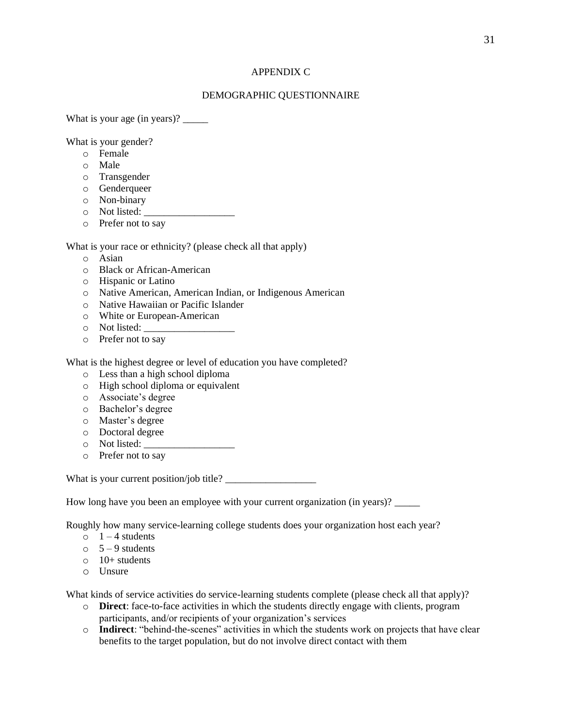# APPENDIX C

## DEMOGRAPHIC QUESTIONNAIRE

What is your age (in years)? \_\_\_\_\_\_\_\_

What is your gender?

- o Female
- o Male
- o Transgender
- o Genderqueer
- o Non-binary
- $\circ$  Not listed:
- o Prefer not to say

What is your race or ethnicity? (please check all that apply)

- o Asian
- o Black or African-American
- o Hispanic or Latino
- o Native American, American Indian, or Indigenous American
- o Native Hawaiian or Pacific Islander
- o White or European-American
- $\circ$  Not listed:
- o Prefer not to say

What is the highest degree or level of education you have completed?

- o Less than a high school diploma
- o High school diploma or equivalent
- o Associate's degree
- o Bachelor's degree
- o Master's degree
- o Doctoral degree
- o Not listed: \_\_\_\_\_\_\_\_\_\_\_\_\_\_\_\_\_\_
- o Prefer not to say

What is your current position/job title? \_\_\_\_\_\_\_\_\_\_\_\_\_\_\_\_\_\_

How long have you been an employee with your current organization (in years)?

Roughly how many service-learning college students does your organization host each year?

- $\circ$  1 4 students
- $\circ$  5 9 students
- $\circ$  10+ students
- o Unsure

What kinds of service activities do service-learning students complete (please check all that apply)?

- o **Direct**: face-to-face activities in which the students directly engage with clients, program participants, and/or recipients of your organization's services
- o **Indirect**: "behind-the-scenes" activities in which the students work on projects that have clear benefits to the target population, but do not involve direct contact with them